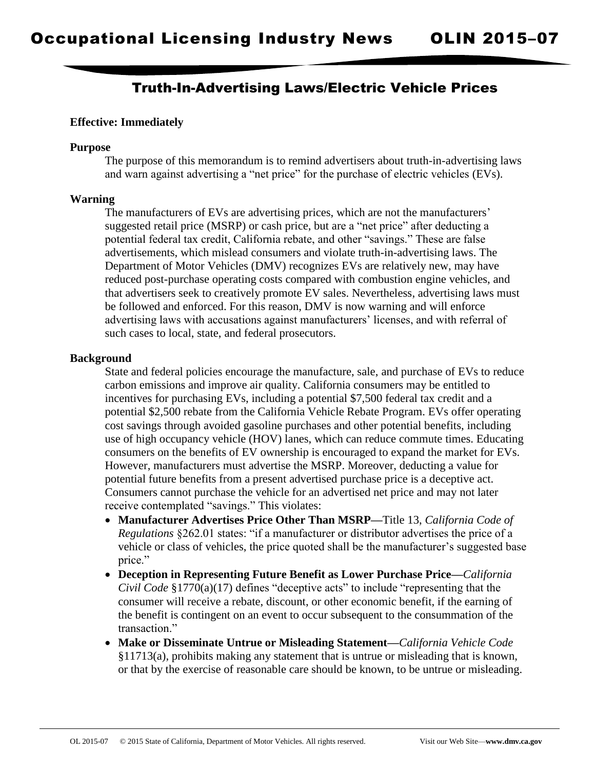## Truth-In-Advertising Laws/Electric Vehicle Prices

#### **Effective: Immediately**

#### **Purpose**

The purpose of this memorandum is to remind advertisers about truth-in-advertising laws and warn against advertising a "net price" for the purchase of electric vehicles (EVs).

#### **Warning**

The manufacturers of EVs are advertising prices, which are not the manufacturers' suggested retail price (MSRP) or cash price, but are a "net price" after deducting a potential federal tax credit, California rebate, and other "savings." These are false advertisements, which mislead consumers and violate truth-in-advertising laws. The Department of Motor Vehicles (DMV) recognizes EVs are relatively new, may have reduced post-purchase operating costs compared with combustion engine vehicles, and that advertisers seek to creatively promote EV sales. Nevertheless, advertising laws must be followed and enforced. For this reason, DMV is now warning and will enforce advertising laws with accusations against manufacturers' licenses, and with referral of such cases to local, state, and federal prosecutors.

#### **Background**

State and federal policies encourage the manufacture, sale, and purchase of EVs to reduce carbon emissions and improve air quality. California consumers may be entitled to incentives for purchasing EVs, including a potential \$7,500 federal tax credit and a potential \$2,500 rebate from the California Vehicle Rebate Program. EVs offer operating cost savings through avoided gasoline purchases and other potential benefits, including use of high occupancy vehicle (HOV) lanes, which can reduce commute times. Educating consumers on the benefits of EV ownership is encouraged to expand the market for EVs. However, manufacturers must advertise the MSRP. Moreover, deducting a value for potential future benefits from a present advertised purchase price is a deceptive act. Consumers cannot purchase the vehicle for an advertised net price and may not later receive contemplated "savings." This violates:

- **Manufacturer Advertises Price Other Than MSRP—**Title 13, *California Code of Regulations* §262.01 states: "if a manufacturer or distributor advertises the price of a vehicle or class of vehicles, the price quoted shall be the manufacturer's suggested base price."
- **Deception in Representing Future Benefit as Lower Purchase Price—***California Civil Code* §1770(a)(17) defines "deceptive acts" to include "representing that the consumer will receive a rebate, discount, or other economic benefit, if the earning of the benefit is contingent on an event to occur subsequent to the consummation of the transaction."
- **Make or Disseminate Untrue or Misleading Statement—***California Vehicle Code* §11713(a), prohibits making any statement that is untrue or misleading that is known, or that by the exercise of reasonable care should be known, to be untrue or misleading.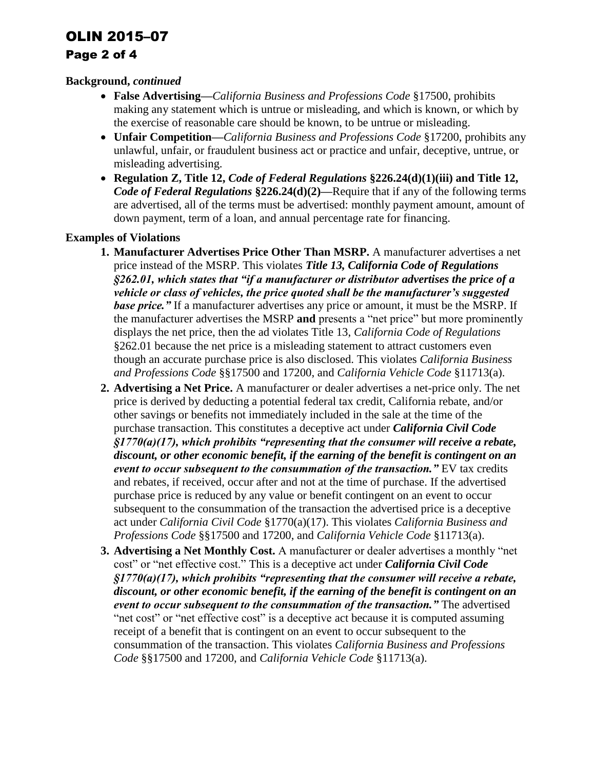## OLIN 2015–07

## Page 2 of 4

## **Background,** *continued*

- **False Advertising—***California Business and Professions Code* §17500, prohibits making any statement which is untrue or misleading, and which is known, or which by the exercise of reasonable care should be known, to be untrue or misleading.
- **Unfair Competition—***California Business and Professions Code* §17200, prohibits any unlawful, unfair, or fraudulent business act or practice and unfair, deceptive, untrue, or misleading advertising.
- **Regulation Z, Title 12,** *Code of Federal Regulations* **§226.24(d)(1)(iii) and Title 12,**  *Code of Federal Regulations* §226.24(d)(2)—Require that if any of the following terms are advertised, all of the terms must be advertised: monthly payment amount, amount of down payment, term of a loan, and annual percentage rate for financing.

## **Examples of Violations**

- **1. Manufacturer Advertises Price Other Than MSRP.** A manufacturer advertises a net price instead of the MSRP. This violates *Title 13, California Code of Regulations §262.01, which states that "if a manufacturer or distributor advertises the price of a vehicle or class of vehicles, the price quoted shall be the manufacturer's suggested base price.*" If a manufacturer advertises any price or amount, it must be the MSRP. If the manufacturer advertises the MSRP **and** presents a "net price" but more prominently displays the net price, then the ad violates Title 13, *California Code of Regulations* §262.01 because the net price is a misleading statement to attract customers even though an accurate purchase price is also disclosed. This violates *California Business and Professions Code* §§17500 and 17200, and *California Vehicle Code* §11713(a).
- **2. Advertising a Net Price.** A manufacturer or dealer advertises a net-price only. The net price is derived by deducting a potential federal tax credit, California rebate, and/or other savings or benefits not immediately included in the sale at the time of the purchase transaction. This constitutes a deceptive act under *California Civil Code §1770(a)(17), which prohibits "representing that the consumer will receive a rebate, discount, or other economic benefit, if the earning of the benefit is contingent on an event to occur subsequent to the consummation of the transaction.*" EV tax credits and rebates, if received, occur after and not at the time of purchase. If the advertised purchase price is reduced by any value or benefit contingent on an event to occur subsequent to the consummation of the transaction the advertised price is a deceptive act under *California Civil Code* §1770(a)(17). This violates *California Business and Professions Code* §§17500 and 17200, and *California Vehicle Code* §11713(a).
- **3. Advertising a Net Monthly Cost.** A manufacturer or dealer advertises a monthly "net cost" or "net effective cost." This is a deceptive act under *California Civil Code §1770(a)(17), which prohibits "representing that the consumer will receive a rebate, discount, or other economic benefit, if the earning of the benefit is contingent on an event to occur subsequent to the consummation of the transaction."* The advertised "net cost" or "net effective cost" is a deceptive act because it is computed assuming receipt of a benefit that is contingent on an event to occur subsequent to the consummation of the transaction. This violates *California Business and Professions Code* §§17500 and 17200, and *California Vehicle Code* §11713(a).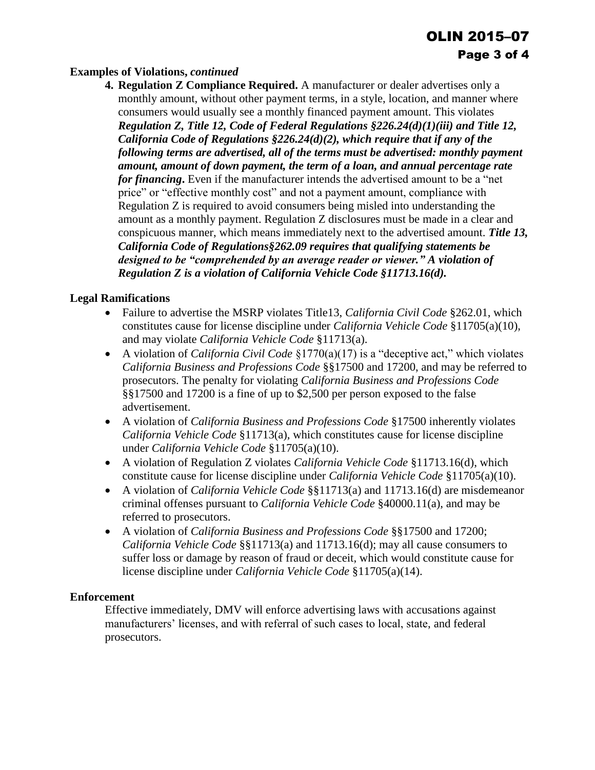## **Examples of Violations,** *continued*

**4. Regulation Z Compliance Required.** A manufacturer or dealer advertises only a monthly amount, without other payment terms, in a style, location, and manner where consumers would usually see a monthly financed payment amount. This violates *Regulation Z, Title 12, Code of Federal Regulations §226.24(d)(1)(iii) and Title 12, California Code of Regulations §226.24(d)(2), which require that if any of the following terms are advertised, all of the terms must be advertised: monthly payment amount, amount of down payment, the term of a loan, and annual percentage rate for financing***.** Even if the manufacturer intends the advertised amount to be a "net price" or "effective monthly cost" and not a payment amount, compliance with Regulation Z is required to avoid consumers being misled into understanding the amount as a monthly payment. Regulation Z disclosures must be made in a clear and conspicuous manner, which means immediately next to the advertised amount. *Title 13, California Code of Regulations§262.09 requires that qualifying statements be designed to be "comprehended by an average reader or viewer." A violation of Regulation Z is a violation of California Vehicle Code §11713.16(d).*

## **Legal Ramifications**

- Failure to advertise the MSRP violates Title13, *California Civil Code* §262.01, which constitutes cause for license discipline under *California Vehicle Code* §11705(a)(10), and may violate *California Vehicle Code* §11713(a).
- A violation of *California Civil Code* §1770(a)(17) is a "deceptive act," which violates *California Business and Professions Code* §§17500 and 17200, and may be referred to prosecutors. The penalty for violating *California Business and Professions Code* §§17500 and 17200 is a fine of up to \$2,500 per person exposed to the false advertisement.
- A violation of *California Business and Professions Code* §17500 inherently violates *California Vehicle Code* §11713(a), which constitutes cause for license discipline under *California Vehicle Code* §11705(a)(10).
- A violation of Regulation Z violates *California Vehicle Code* §11713.16(d), which constitute cause for license discipline under *California Vehicle Code* §11705(a)(10).
- A violation of *California Vehicle Code* §§11713(a) and 11713.16(d) are misdemeanor criminal offenses pursuant to *California Vehicle Code* §40000.11(a), and may be referred to prosecutors.
- A violation of *California Business and Professions Code* §§17500 and 17200; *California Vehicle Code* §§11713(a) and 11713.16(d); may all cause consumers to suffer loss or damage by reason of fraud or deceit, which would constitute cause for license discipline under *California Vehicle Code* §11705(a)(14).

#### **Enforcement**

Effective immediately, DMV will enforce advertising laws with accusations against manufacturers' licenses, and with referral of such cases to local, state, and federal prosecutors.